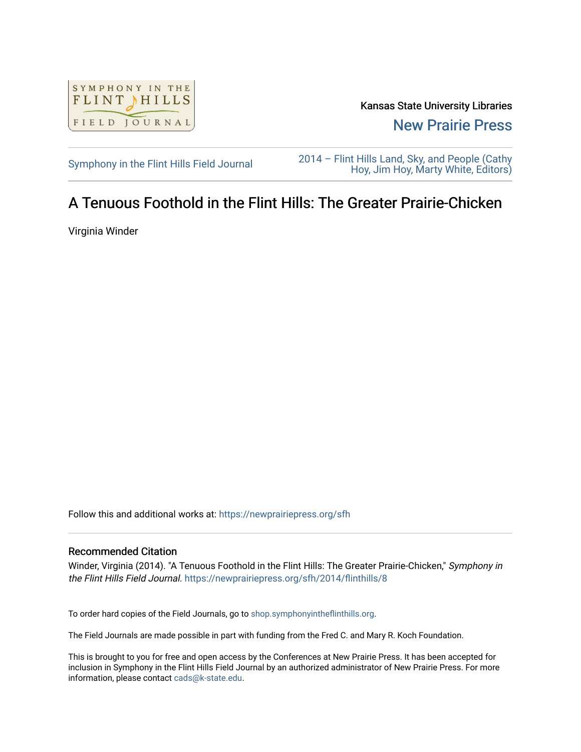

Kansas State University Libraries [New Prairie Press](https://newprairiepress.org/) 

[Symphony in the Flint Hills Field Journal](https://newprairiepress.org/sfh) 2014 – Flint Hills Land, Sky, and People (Cathy [Hoy, Jim Hoy, Marty White, Editors\)](https://newprairiepress.org/sfh/2014) 

## A Tenuous Foothold in the Flint Hills: The Greater Prairie-Chicken

Virginia Winder

Follow this and additional works at: [https://newprairiepress.org/sfh](https://newprairiepress.org/sfh?utm_source=newprairiepress.org%2Fsfh%2F2014%2Fflinthills%2F8&utm_medium=PDF&utm_campaign=PDFCoverPages)

## Recommended Citation

Winder, Virginia (2014). "A Tenuous Foothold in the Flint Hills: The Greater Prairie-Chicken," Symphony in the Flint Hills Field Journal. <https://newprairiepress.org/sfh/2014/flinthills/8>

To order hard copies of the Field Journals, go to [shop.symphonyintheflinthills.org.](http://shop.symphonyintheflinthills.org/)

The Field Journals are made possible in part with funding from the Fred C. and Mary R. Koch Foundation.

This is brought to you for free and open access by the Conferences at New Prairie Press. It has been accepted for inclusion in Symphony in the Flint Hills Field Journal by an authorized administrator of New Prairie Press. For more information, please contact [cads@k-state.edu](mailto:cads@k-state.edu).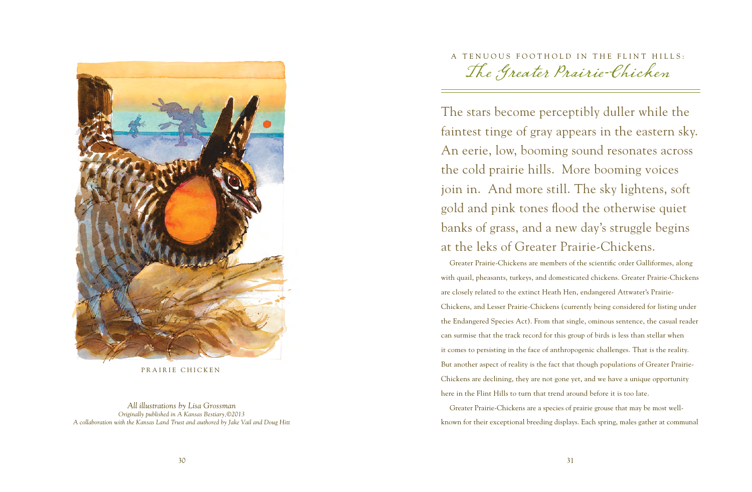

PRAIRIE CHICKEN

*All illustrations by Lisa Grossman Originally published in A Kansas Bestiary,©2013 A collaboration with the Kansas Land Trust and authored by Jake Vail and Doug Hitt* A TENUOUS FOOTHOLD IN THE FLINT HILLS: The Greater Prairie-Chicken

The stars become perceptibly duller while the faintest tinge of gray appears in the eastern sky. An eerie, low, booming sound resonates across the cold prairie hills. More booming voices join in. And more still. The sky lightens, soft gold and pink tones flood the otherwise quiet banks of grass, and a new day's struggle begins at the leks of Greater Prairie-Chickens.

Greater Prairie-Chickens are members of the scientific order Galliformes, along with quail, pheasants, turkeys, and domesticated chickens. Greater Prairie-Chickens are closely related to the extinct Heath Hen, endangered Attwater's Prairie-Chickens, and Lesser Prairie-Chickens (currently being considered for listing under the Endangered Species Act). From that single, ominous sentence, the casual reader can surmise that the track record for this group of birds is less than stellar when it comes to persisting in the face of anthropogenic challenges. That is the reality. But another aspect of reality is the fact that though populations of Greater Prairie-Chickens are declining, they are not gone yet, and we have a unique opportunity here in the Flint Hills to turn that trend around before it is too late.

Greater Prairie-Chickens are a species of prairie grouse that may be most wellknown for their exceptional breeding displays. Each spring, males gather at communal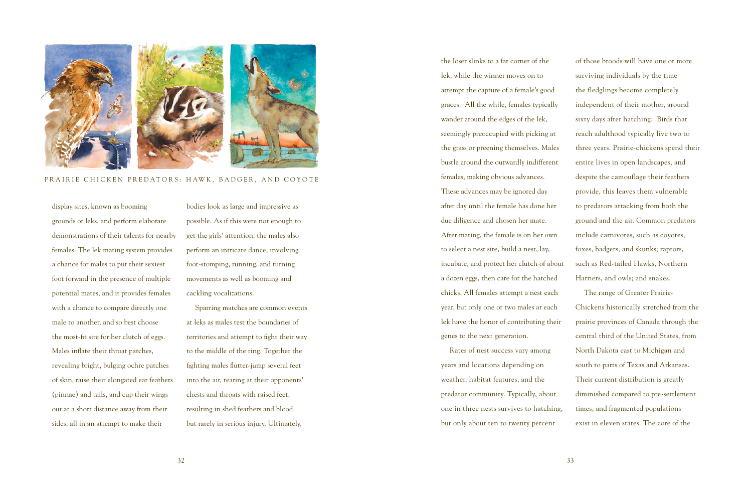

PRAIRIE CHICKEN PREDATORS: HAWK, BADGER, AND COYOTE

display sites, known as booming grounds or leks, and perform elaborate demonstrations of their talents for nearby females. The lek mating system provides a chance for males to put their sexiest foot forward in the presence of multiple potential mates, and it provides females with a chance to compare directly one male to another, and so best choose the most-fit sire for her clutch of eggs. Males inflate their throat patches, revealing bright, bulging ochre patches of skin, raise their elongated ear feathers (pinnae) and tails, and cup their wings out at a short distance away from their sides, all in an attempt to make their

bodies look as large and impressive as possible. As if this were not enough to get the girls' attention, the males also perform an intricate dance, involving foot-stomping, running, and turning movements as well as booming and cackling vocalizations.

Sparring matches are common events at leks as males test the boundaries of territories and attempt to fight their way to the middle of the ring. Together the fighting males flutter-jump several feet into the air, tearing at their opponents' chests and throats with raised feet, resulting in shed feathers and blood but rarely in serious injury. Ultimately,

the loser slinks to a far corner of the lek, while the winner moves on to attempt the capture of a female's good graces. All the while, females typically wander around the edges of the lek, seemingly preoccupied with picking at the grass or preening themselves. Males bustle around the outwardly indifferent females, making obvious advances. These advances may be ignored day after day until the female has done her due diligence and chosen her mate. After mating, the female is on her own to select a nest site, build a nest, lay, incubate, and protect her clutch of about a dozen eggs, then care for the hatched chicks. All females attempt a nest each year, but only one or two males at each lek have the honor of contributing their genes to the next generation.

Rates of nest success vary among years and locations depending on weather, habitat features, and the predator community. Typically, about one in three nests survives to hatching, but only about ten to twenty percent

of those broods will have one or more surviving individuals by the time the fledglings become completely independent of their mother, around sixty days after hatching. Birds that reach adulthood typically live two to three years. Prairie-chickens spend their entire lives in open landscapes, and despite the camouflage their feathers provide, this leaves them vulnerable to predators attacking from both the ground and the air. Common predators include carnivores, such as coyotes, foxes, badgers, and skunks; raptors, such as Red-tailed Hawks, Northern Harriers, and owls; and snakes.

The range of Greater Prairie-Chickens historically stretched from the prairie provinces of Canada through the central third of the United States, from North Dakota east to Michigan and south to parts of Texas and Arkansas. Their current distribution is greatly diminished compared to pre-settlement times, and fragmented populations exist in eleven states. The core of the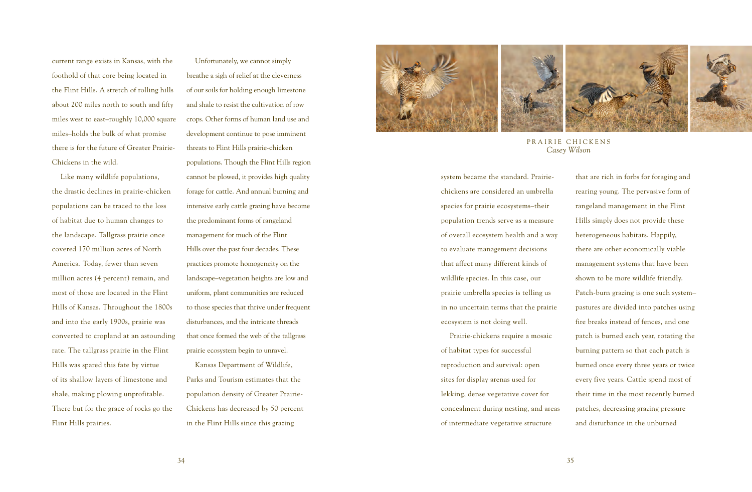current range exists in Kansas, with the foothold of that core being located in the Flint Hills. A stretch of rolling hills about 200 miles north to south and fifty miles west to east–roughly 10,000 square miles–holds the bulk of what promise there is for the future of Greater Prairie-Chickens in the wild.

Like many wildlife populations, the drastic declines in prairie-chicken populations can be traced to the loss of habitat due to human changes to the landscape. Tallgrass prairie once covered 170 million acres of North America. Today, fewer than seven million acres (4 percent) remain, and most of those are located in the Flint Hills of Kansas. Throughout the 1800s and into the early 1900s, prairie was converted to cropland at an astounding rate. The tallgrass prairie in the Flint Hills was spared this fate by virtue of its shallow layers of limestone and shale, making plowing unprofitable. There but for the grace of rocks go the Flint Hills prairies.

Unfortunately, we cannot simply breathe a sigh of relief at the cleverness of our soils for holding enough limestone and shale to resist the cultivation of row crops. Other forms of human land use and development continue to pose imminent threats to Flint Hills prairie-chicken populations. Though the Flint Hills region cannot be plowed, it provides high quality forage for cattle. And annual burning and intensive early cattle grazing have become the predominant forms of rangeland management for much of the Flint Hills over the past four decades. These practices promote homogeneity on the landscape–vegetation heights are low and uniform, plant communities are reduced to those species that thrive under frequent disturbances, and the intricate threads that once formed the web of the tallgrass

Kansas Department of Wildlife, Parks and Tourism estimates that the population density of Greater Prairie-Chickens has decreased by 50 percent in the Flint Hills since this grazing

prairie ecosystem begin to unravel.



PRAIRIE CHICKENS *Casey Wilson*

system became the standard. Prairiechickens are considered an umbrella species for prairie ecosystems–their population trends serve as a measure of overall ecosystem health and a way to evaluate management decisions that affect many different kinds of wildlife species. In this case, our prairie umbrella species is telling us in no uncertain terms that the prairie ecosystem is not doing well.

Prairie-chickens require a mosaic of habitat types for successful reproduction and survival: open sites for display arenas used for lekking, dense vegetative cover for concealment during nesting, and areas of intermediate vegetative structure

that are rich in forbs for foraging and rearing young. The pervasive form of rangeland management in the Flint Hills simply does not provide these heterogeneous habitats. Happily, there are other economically viable management systems that have been shown to be more wildlife friendly. Patch-burn grazing is one such system– pastures are divided into patches using fire breaks instead of fences, and one patch is burned each year, rotating the burning pattern so that each patch is burned once every three years or twice every five years. Cattle spend most of their time in the most recently burned patches, decreasing grazing pressure and disturbance in the unburned